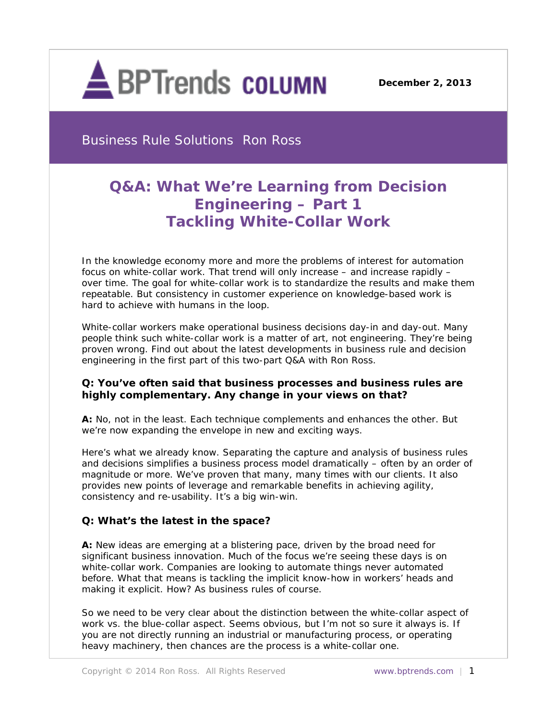

**December 2, 2013**

Business Rule Solutions Ron Ross

# **Q&A: What We're Learning from Decision Engineering – Part 1** *Tackling White-Collar Work*

*In the knowledge economy more and more the problems of interest for automation focus on white-collar work. That trend will only increase – and increase rapidly – over time. The goal for white-collar work is to standardize the results and make them repeatable. But consistency in customer experience on knowledge-based work is hard to achieve with humans in the loop.* 

*White-collar workers make operational business decisions day-in and day-out. Many people think such white-collar work is a matter of art, not engineering. They're being proven wrong. Find out about the latest developments in business rule and decision engineering in the first part of this two-part Q&A with Ron Ross.*

## **Q: You've often said that business processes and business rules are highly complementary. Any change in your views on that?**

**A:** No, not in the least. Each technique complements and enhances the other. But we're now expanding the envelope in new and exciting ways.

Here's what we already know. Separating the capture and analysis of business rules and decisions simplifies a business process model dramatically – often by an order of magnitude or more. We've proven that many, many times with our clients. It also provides new points of leverage and remarkable benefits in achieving agility, consistency and re-usability. It's a big win-win.

## **Q: What's the latest in the space?**

**A:** New ideas are emerging at a blistering pace, driven by the broad need for significant business innovation. Much of the focus we're seeing these days is on white-collar work. Companies are looking to automate things never automated before. What that means is tackling the implicit know-how in workers' heads and making it explicit. How? As business rules of course.

So we need to be very clear about the distinction between the white-collar aspect of work vs. the blue-collar aspect. Seems obvious, but I'm not so sure it always is. If you are not directly running an industrial or manufacturing process, or operating heavy machinery, then chances are the process is a white-collar one.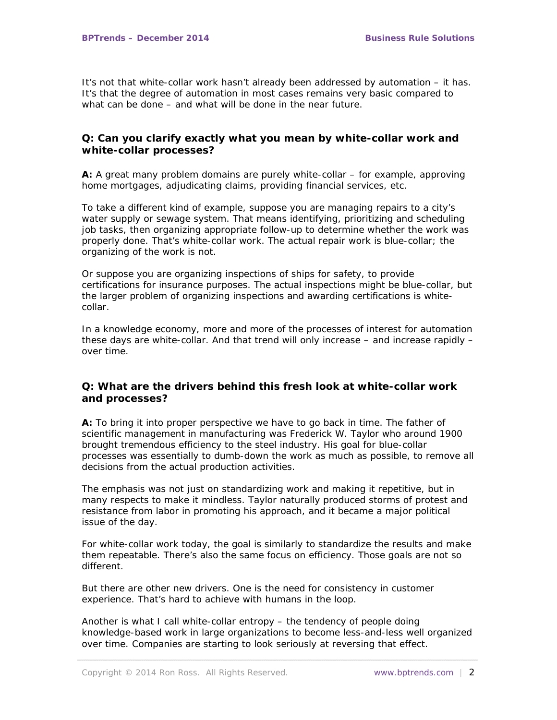It's not that white-collar work hasn't already been addressed by automation – it has. It's that the degree of automation in most cases remains very basic compared to what can be done – and what *will* be done in the near future.

## **Q: Can you clarify exactly what you mean by white-collar work and white-collar processes?**

**A:** A great many problem domains are purely white-collar – for example, approving home mortgages, adjudicating claims, providing financial services, etc.

To take a different kind of example, suppose you are managing repairs to a city's water supply or sewage system. That means identifying, prioritizing and scheduling job tasks, then organizing appropriate follow-up to determine whether the work was properly done. That's white-collar work. The actual repair work is blue-collar; the organizing of the work is not.

Or suppose you are organizing inspections of ships for safety, to provide certifications for insurance purposes. The actual inspections might be blue-collar, but the larger problem of organizing inspections and awarding certifications is whitecollar.

In a knowledge economy, more and more of the processes of interest for automation these days are white-collar. And that trend will only increase – and increase rapidly – over time.

## **Q: What are the drivers behind this fresh look at white-collar work and processes?**

**A:** To bring it into proper perspective we have to go back in time. The father of scientific management in manufacturing was Frederick W. Taylor who around 1900 brought tremendous efficiency to the steel industry. His goal for blue-collar processes was essentially to dumb-down the work as much as possible, to remove all decisions from the actual production activities.

The emphasis was not just on standardizing work and making it repetitive, but in many respects to make it mindless. Taylor naturally produced storms of protest and resistance from labor in promoting his approach, and it became a major political issue of the day.

For white-collar work today, the goal is similarly to standardize the results and make them repeatable. There's also the same focus on efficiency. Those goals are not so different.

But there are other new drivers. One is the need for consistency in customer experience. That's hard to achieve with humans in the loop.

Another is what I call white-collar entropy – the tendency of people doing knowledge-based work in large organizations to become less-and-less well organized over time. Companies are starting to look seriously at reversing that effect.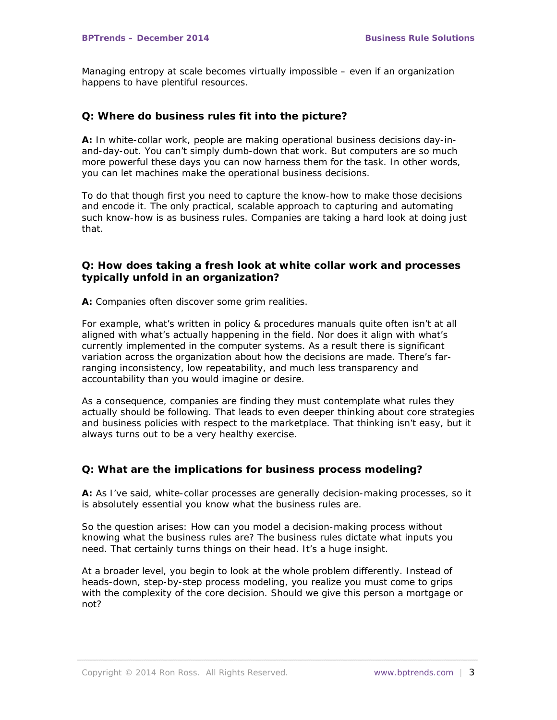Managing entropy at scale becomes virtually impossible – even if an organization happens to have plentiful resources.

## **Q: Where do business rules fit into the picture?**

**A:** In white-collar work, people are making operational business decisions day-inand-day-out. You can't simply dumb-down that work. But computers are so much more powerful these days you can now harness them for the task. In other words, you can let machines make the operational business decisions.

To do that though first you need to capture the know-how to make those decisions and encode it. The only practical, scalable approach to capturing and automating such know-how is as business rules. Companies are taking a hard look at doing just that.

## **Q: How does taking a fresh look at white collar work and processes typically unfold in an organization?**

**A:** Companies often discover some grim realities.

For example, what's written in policy & procedures manuals quite often isn't at all aligned with what's actually happening in the field. Nor does it align with what's currently implemented in the computer systems. As a result there is significant variation across the organization about how the decisions are made. There's farranging inconsistency, low repeatability, and much less transparency and accountability than you would imagine or desire.

As a consequence, companies are finding they must contemplate what rules they actually *should* be following. That leads to even deeper thinking about core strategies and business policies with respect to the marketplace. That thinking isn't easy, but it always turns out to be a very healthy exercise.

## **Q: What are the implications for business process modeling?**

**A:** As I've said, white-collar processes are generally decision-making processes, so it is absolutely essential you know what the business rules are.

So the question arises: How can you model a decision-making process without knowing what the business rules are? The business rules dictate what inputs you need. That certainly turns things on their head. It's a huge insight.

At a broader level, you begin to look at the whole problem differently. Instead of heads-down, step-by-step process modeling, you realize you must come to grips with the complexity of the core decision. Should we give this person a mortgage or not?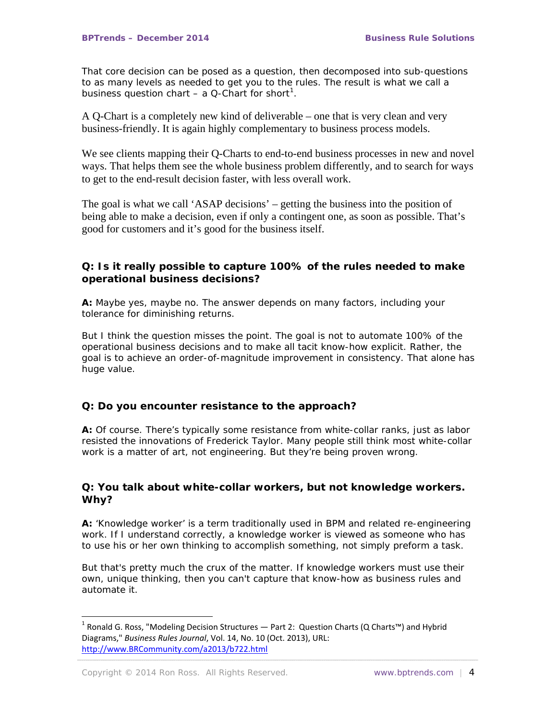That core decision can be posed as a question, then decomposed into sub-questions to as many levels as needed to get you to the rules. The result is what we call a business question chart  $-$  a Q-Chart for short<sup>[1](#page-3-0)</sup>.

A Q-Chart is a completely new kind of deliverable – one that is very clean and very business-friendly. It is again highly complementary to business process models.

We see clients mapping their Q-Charts to end-to-end business processes in new and novel ways. That helps them see the whole business problem differently, and to search for ways to get to the end-result decision faster, with less overall work.

The goal is what we call 'ASAP decisions' – getting the business into the position of being able to make a decision, even if only a contingent one, as soon as possible. That's good for customers and it's good for the business itself.

## **Q: Is it really possible to capture 100% of the rules needed to make operational business decisions?**

**A:** Maybe *yes*, maybe *no*. The answer depends on many factors, including your tolerance for diminishing returns.

But I think the question misses the point. The goal is not to automate 100% of the operational business decisions and to make all tacit know-how explicit. Rather, the goal is to achieve an order-of-magnitude improvement in consistency. That alone has huge value.

#### **Q: Do you encounter resistance to the approach?**

**A:** Of course. There's typically some resistance from white-collar ranks, just as labor resisted the innovations of Frederick Taylor. Many people still think most white-collar work is a matter of art, not engineering. But they're being proven wrong.

## **Q: You talk about white-collar workers, but not knowledge workers. Why?**

**A:** 'Knowledge worker' is a term traditionally used in BPM and related re-engineering work. If I understand correctly, a knowledge worker is viewed as someone who has to use his or her own thinking to accomplish something, not simply preform a task.

But that's pretty much the crux of the matter. If knowledge workers must use their own, unique thinking, then you can't capture that know-how as business rules and automate it.

-

<span id="page-3-0"></span><sup>&</sup>lt;sup>1</sup> Ronald G. Ross, "Modeling Decision Structures — Part 2: Question Charts (Q Charts™) and Hybrid Diagrams," *Business Rules Journal*, Vol. 14, No. 10 (Oct. 2013), URL: [http://www.BRCommunity.com/a2013/b722.html](http://www.brcommunity.com/a2013/b722.html)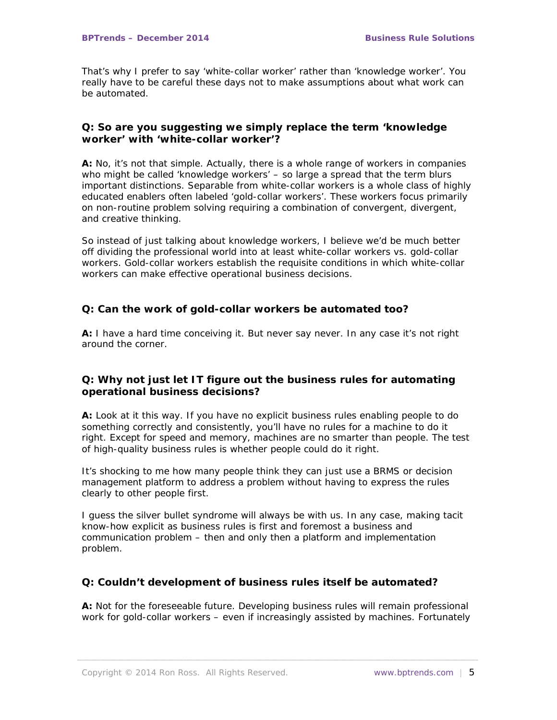That's why I prefer to say 'white-collar worker' rather than 'knowledge worker'. You really have to be careful these days not to make assumptions about what work can be automated.

## **Q: So are you suggesting we simply replace the term 'knowledge worker' with 'white-collar worker'?**

**A:** No, it's not that simple. Actually, there is a whole range of workers in companies who might be called 'knowledge workers' – so large a spread that the term blurs important distinctions. Separable from white-collar workers is a whole class of highly educated enablers often labeled 'gold-collar workers'. These workers focus primarily on non-routine problem solving requiring a combination of convergent, divergent, and creative thinking.

So instead of just talking about knowledge workers, I believe we'd be much better off dividing the professional world into at least white-collar workers vs. gold-collar workers. Gold-collar workers establish the requisite conditions in which white-collar workers can make effective operational business decisions.

## **Q: Can the work of gold-collar workers be automated too?**

**A:** I have a hard time conceiving it. But never say never. In any case it's not right around the corner.

## **Q: Why not just let IT figure out the business rules for automating operational business decisions?**

**A:** Look at it this way. If you have no explicit business rules enabling *people* to do something correctly and consistently, you'll have no rules for a machine to do it right. Except for speed and memory, machines are no smarter than people. The test of high-quality business rules is whether *people* could do it right.

It's shocking to me how many people think they can just use a BRMS or decision management platform to address a problem without having to express the rules clearly to other people first.

I guess the silver bullet syndrome will always be with us. In any case, making tacit know-how explicit as business rules is first and foremost a business and communication problem – then and only then a platform and implementation problem.

## **Q: Couldn't development of business rules itself be automated?**

**A:** Not for the foreseeable future. Developing business rules will remain professional work for gold-collar workers – even if increasingly assisted by machines. Fortunately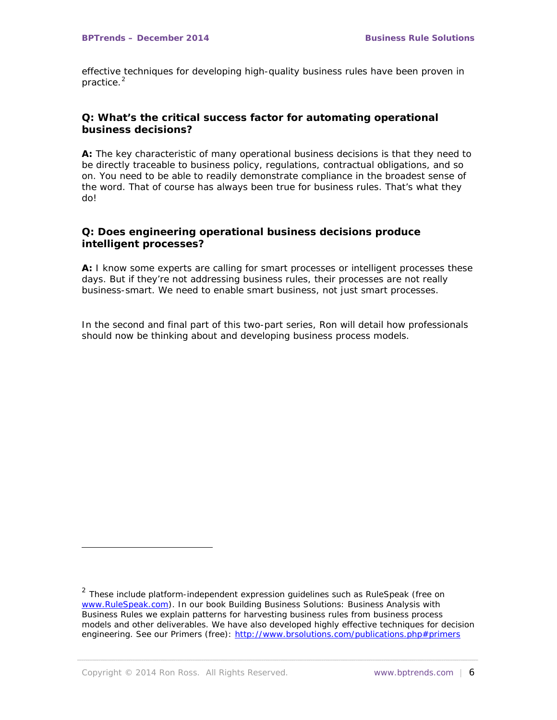effective techniques for developing high-quality business rules have been proven in practice.<sup>[2](#page-5-0)</sup>

## **Q: What's the critical success factor for automating operational business decisions?**

**A:** The key characteristic of many operational business decisions is that they need to be *directly* traceable to business policy, regulations, contractual obligations, and so on. You need to be able to readily demonstrate compliance in the broadest sense of the word. That of course has always been true for business rules. That's what they do!

## **Q: Does engineering operational business decisions produce intelligent processes?**

**A:** I know some experts are calling for smart processes or intelligent processes these days. But if they're not addressing business rules, their processes are not really business-smart. We need to enable *smart business*, not just smart processes.

*In the second and final part of this two-part series, Ron will detail how professionals should now be thinking about and developing business process models.* 

i,

<span id="page-5-0"></span> $2$  These include platform-independent expression guidelines such as RuleSpeak (free on [www.RuleSpeak.com\)](http://www.rulespeak.com/). In our book *Building Business Solutions: Business Analysis with Business Rules* we explain patterns for harvesting business rules from business process models and other deliverables. We have also developed highly effective techniques for decision engineering. See our *Primers* (free):<http://www.brsolutions.com/publications.php#primers>